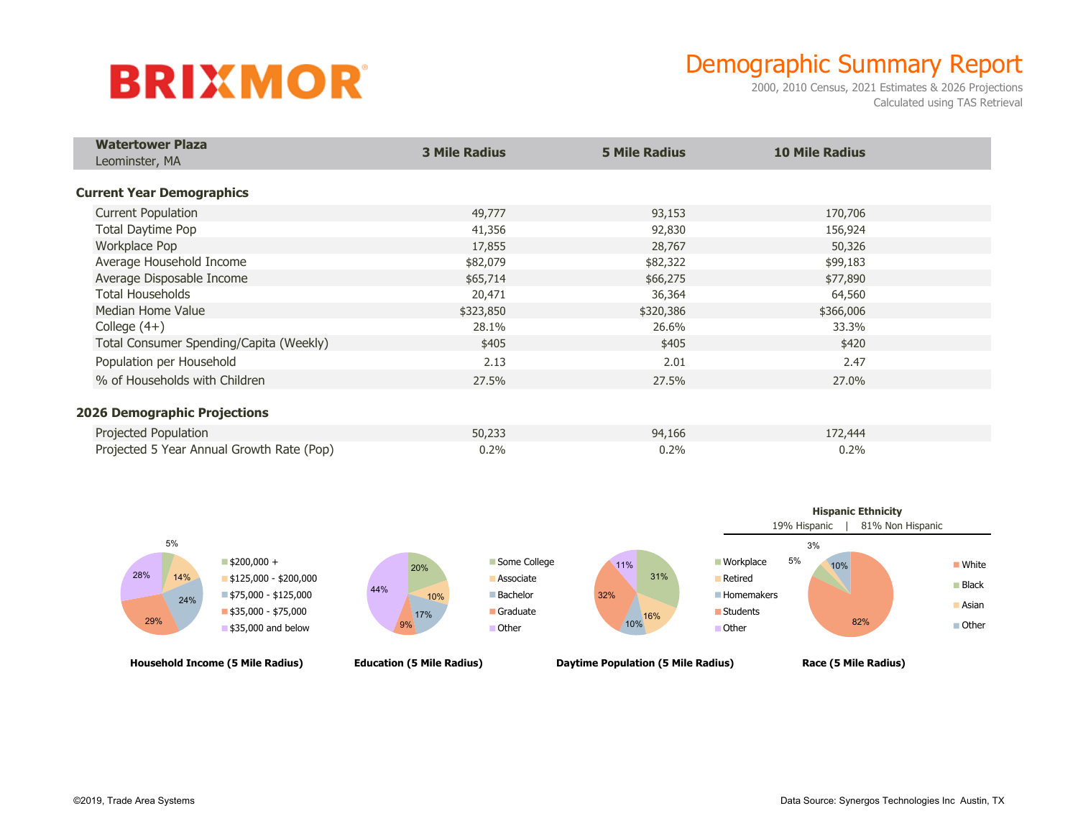## **BRIXMOR**

## Demographic Summary Report

2000, 2010 Census, 2021 Estimates & 2026 Projections Calculated using TAS Retrieval

| <b>Watertower Plaza</b>                   |                      |                      |                       |  |
|-------------------------------------------|----------------------|----------------------|-----------------------|--|
| Leominster, MA                            | <b>3 Mile Radius</b> | <b>5 Mile Radius</b> | <b>10 Mile Radius</b> |  |
|                                           |                      |                      |                       |  |
| <b>Current Year Demographics</b>          |                      |                      |                       |  |
| <b>Current Population</b>                 | 49,777               | 93,153               | 170,706               |  |
| Total Daytime Pop                         | 41,356               | 92,830               | 156,924               |  |
| Workplace Pop                             | 17,855               | 28,767               | 50,326                |  |
| Average Household Income                  | \$82,079             | \$82,322             | \$99,183              |  |
| Average Disposable Income                 | \$65,714             | \$66,275             | \$77,890              |  |
| <b>Total Households</b>                   | 20,471               | 36,364               | 64,560                |  |
| Median Home Value                         | \$323,850            | \$320,386            | \$366,006             |  |
| College $(4+)$                            | 28.1%                | 26.6%                | 33.3%                 |  |
| Total Consumer Spending/Capita (Weekly)   | \$405                | \$405                | \$420                 |  |
| Population per Household                  | 2.13                 | 2.01                 | 2.47                  |  |
| % of Households with Children             | 27.5%                | 27.5%                | 27.0%                 |  |
|                                           |                      |                      |                       |  |
| <b>2026 Demographic Projections</b>       |                      |                      |                       |  |
| Projected Population                      | 50,233               | 94,166               | 172,444               |  |
| Projected 5 Year Annual Growth Rate (Pop) | 0.2%                 | 0.2%                 | 0.2%                  |  |